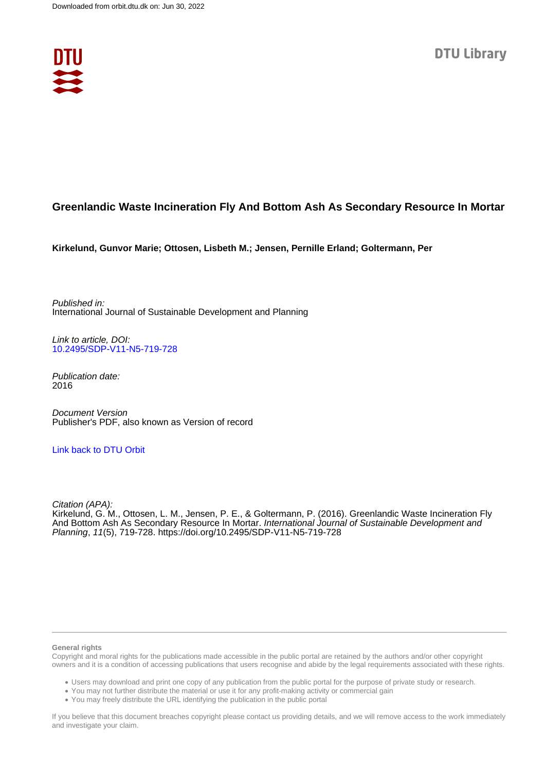

# **Greenlandic Waste Incineration Fly And Bottom Ash As Secondary Resource In Mortar**

**Kirkelund, Gunvor Marie; Ottosen, Lisbeth M.; Jensen, Pernille Erland; Goltermann, Per**

Published in: International Journal of Sustainable Development and Planning

Link to article, DOI: [10.2495/SDP-V11-N5-719-728](https://doi.org/10.2495/SDP-V11-N5-719-728)

Publication date: 2016

Document Version Publisher's PDF, also known as Version of record

## [Link back to DTU Orbit](https://orbit.dtu.dk/en/publications/4b6b2987-8212-4b0c-9b46-1ece6e9f12b0)

Citation (APA): Kirkelund, G. M., Ottosen, L. M., Jensen, P. E., & Goltermann, P. (2016). Greenlandic Waste Incineration Fly And Bottom Ash As Secondary Resource In Mortar. International Journal of Sustainable Development and Planning, 11(5), 719-728. <https://doi.org/10.2495/SDP-V11-N5-719-728>

#### **General rights**

Copyright and moral rights for the publications made accessible in the public portal are retained by the authors and/or other copyright owners and it is a condition of accessing publications that users recognise and abide by the legal requirements associated with these rights.

Users may download and print one copy of any publication from the public portal for the purpose of private study or research.

- You may not further distribute the material or use it for any profit-making activity or commercial gain
- You may freely distribute the URL identifying the publication in the public portal

If you believe that this document breaches copyright please contact us providing details, and we will remove access to the work immediately and investigate your claim.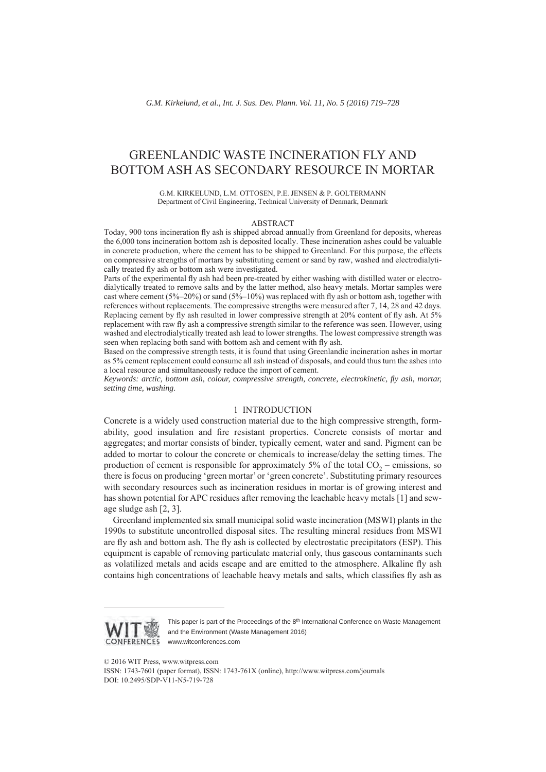# GREENLANDIC WASTE INCINERATION FLY AND BOTTOM ASH AS SECONDARY RESOURCE IN MORTAR

G.M. KIRKELUND, L.M. OTTOSEN, P.E. JENSEN & P. GOLTERMANN Department of Civil Engineering, Technical University of Denmark, Denmark

#### ABSTRACT

Today, 900 tons incineration fly ash is shipped abroad annually from Greenland for deposits, whereas the 6,000 tons incineration bottom ash is deposited locally. These incineration ashes could be valuable in concrete production, where the cement has to be shipped to Greenland. For this purpose, the effects on compressive strengths of mortars by substituting cement or sand by raw, washed and electrodialytically treated fly ash or bottom ash were investigated.

Parts of the experimental fly ash had been pre-treated by either washing with distilled water or electrodialytically treated to remove salts and by the latter method, also heavy metals. Mortar samples were cast where cement (5%–20%) or sand (5%–10%) was replaced with fly ash or bottom ash, together with references without replacements. The compressive strengths were measured after 7, 14, 28 and 42 days. Replacing cement by fly ash resulted in lower compressive strength at 20% content of fly ash. At 5% replacement with raw fly ash a compressive strength similar to the reference was seen. However, using washed and electrodialytically treated ash lead to lower strengths. The lowest compressive strength was seen when replacing both sand with bottom ash and cement with fly ash.

Based on the compressive strength tests, it is found that using Greenlandic incineration ashes in mortar as 5% cement replacement could consume all ash instead of disposals, and could thus turn the ashes into a local resource and simultaneously reduce the import of cement.

*Keywords: arctic, bottom ash, colour, compressive strength, concrete, electrokinetic, fly ash, mortar, setting time, washing*.

#### 1 INTRODUCTION

Concrete is a widely used construction material due to the high compressive strength, formability, good insulation and fire resistant properties. Concrete consists of mortar and aggregates; and mortar consists of binder, typically cement, water and sand. Pigment can be added to mortar to colour the concrete or chemicals to increase/delay the setting times. The production of cement is responsible for approximately 5% of the total  $CO<sub>2</sub>$  – emissions, so there is focus on producing 'green mortar'or 'green concrete'. Substituting primary resources with secondary resources such as incineration residues in mortar is of growing interest and has shown potential for APC residues after removing the leachable heavy metals [1] and sewage sludge ash [2, 3].

Greenland implemented six small municipal solid waste incineration (MSWI) plants in the 1990s to substitute uncontrolled disposal sites. The resulting mineral residues from MSWI are fly ash and bottom ash. The fly ash is collected by electrostatic precipitators (ESP). This equipment is capable of removing particulate material only, thus gaseous contaminants such as volatilized metals and acids escape and are emitted to the atmosphere. Alkaline fly ash contains high concentrations of leachable heavy metals and salts, which classifies fly ash as



This paper is part of the Proceedings of the 8<sup>th</sup> International Conference on Waste Management and the Environment (Waste Management 2016) www.witconferences.com

© 2016 WIT Press, www.witpress.com

ISSN: 1743-7601 (paper format), ISSN: 1743-761X (online), http://www.witpress.com/journals DOI: 10.2495/SDP-V11-N5-719-728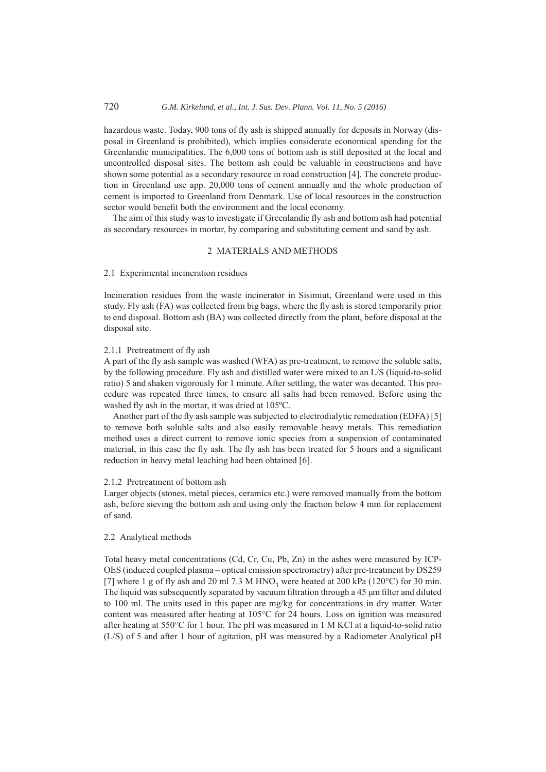## 720 *G.M. Kirkelund, et al., Int. J. Sus. Dev. Plann. Vol. 11, No. 5 (2016)*

hazardous waste. Today, 900 tons of fly ash is shipped annually for deposits in Norway (disposal in Greenland is prohibited), which implies considerate economical spending for the Greenlandic municipalities. The 6,000 tons of bottom ash is still deposited at the local and uncontrolled disposal sites. The bottom ash could be valuable in constructions and have shown some potential as a secondary resource in road construction [4]. The concrete production in Greenland use app. 20,000 tons of cement annually and the whole production of cement is imported to Greenland from Denmark. Use of local resources in the construction sector would benefit both the environment and the local economy.

The aim of this study was to investigate if Greenlandic fly ash and bottom ash had potential as secondary resources in mortar, by comparing and substituting cement and sand by ash.

#### 2 MATERIALS AND METHODS

#### 2.1 Experimental incineration residues

Incineration residues from the waste incinerator in Sisimiut, Greenland were used in this study. Fly ash (FA) was collected from big bags, where the fly ash is stored temporarily prior to end disposal. Bottom ash (BA) was collected directly from the plant, before disposal at the disposal site.

#### 2.1.1 Pretreatment of fly ash

A part of the fly ash sample was washed (WFA) as pre-treatment, to remove the soluble salts, by the following procedure. Fly ash and distilled water were mixed to an L/S (liquid-to-solid ratio) 5 and shaken vigorously for 1 minute. After settling, the water was decanted. This procedure was repeated three times, to ensure all salts had been removed. Before using the washed fly ash in the mortar, it was dried at 105ºC.

Another part of the fly ash sample was subjected to electrodialytic remediation (EDFA) [5] to remove both soluble salts and also easily removable heavy metals. This remediation method uses a direct current to remove ionic species from a suspension of contaminated material, in this case the fly ash. The fly ash has been treated for 5 hours and a significant reduction in heavy metal leaching had been obtained [6].

## 2.1.2 Pretreatment of bottom ash

Larger objects (stones, metal pieces, ceramics etc.) were removed manually from the bottom ash, before sieving the bottom ash and using only the fraction below 4 mm for replacement of sand.

#### 2.2 Analytical methods

Total heavy metal concentrations (Cd, Cr, Cu, Pb, Zn) in the ashes were measured by ICP-OES (induced coupled plasma – optical emission spectrometry) after pre-treatment by DS259 [7] where 1 g of fly ash and 20 ml 7.3 M HNO<sub>3</sub> were heated at 200 kPa (120°C) for 30 min. The liquid was subsequently separated by vacuum filtration through a 45 μm filter and diluted to 100 ml. The units used in this paper are mg/kg for concentrations in dry matter. Water content was measured after heating at 105°C for 24 hours. Loss on ignition was measured after heating at 550°C for 1 hour. The pH was measured in 1 M KCl at a liquid-to-solid ratio (L/S) of 5 and after 1 hour of agitation, pH was measured by a Radiometer Analytical pH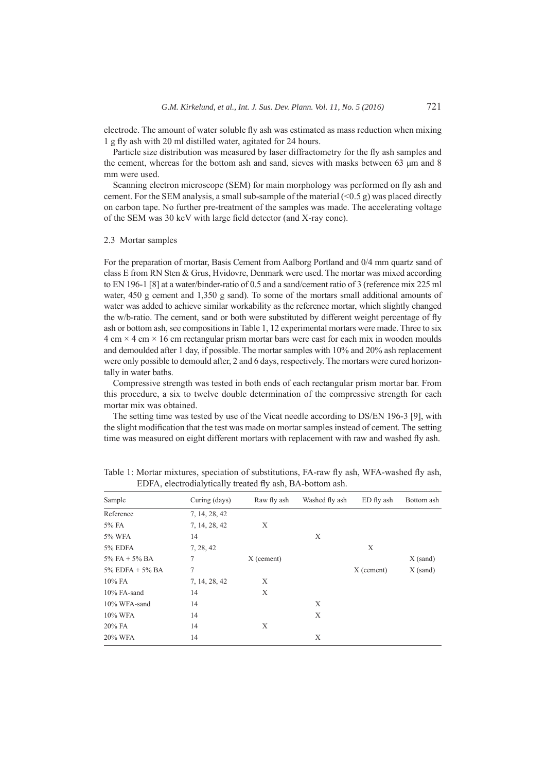electrode. The amount of water soluble fly ash was estimated as mass reduction when mixing 1 g fly ash with 20 ml distilled water, agitated for 24 hours.

Particle size distribution was measured by laser diffractometry for the fly ash samples and the cement, whereas for the bottom ash and sand, sieves with masks between 63 μm and 8 mm were used.

Scanning electron microscope (SEM) for main morphology was performed on fly ash and cement. For the SEM analysis, a small sub-sample of the material  $(< 0.5 \text{ g})$  was placed directly on carbon tape. No further pre-treatment of the samples was made. The accelerating voltage of the SEM was 30 keV with large field detector (and X-ray cone).

#### 2.3 Mortar samples

For the preparation of mortar, Basis Cement from Aalborg Portland and 0/4 mm quartz sand of class E from RN Sten & Grus, Hvidovre, Denmark were used. The mortar was mixed according to EN 196-1 [8] at a water/binder-ratio of 0.5 and a sand/cement ratio of 3 (reference mix 225 ml water, 450 g cement and 1,350 g sand). To some of the mortars small additional amounts of water was added to achieve similar workability as the reference mortar, which slightly changed the w/b-ratio. The cement, sand or both were substituted by different weight percentage of fly ash or bottom ash, see compositions in Table 1, 12 experimental mortars were made. Three to six  $4 \text{ cm} \times 4 \text{ cm} \times 16 \text{ cm}$  rectangular prism mortar bars were cast for each mix in wooden moulds and demoulded after 1 day, if possible. The mortar samples with 10% and 20% ash replacement were only possible to demould after, 2 and 6 days, respectively. The mortars were cured horizontally in water baths.

Compressive strength was tested in both ends of each rectangular prism mortar bar. From this procedure, a six to twelve double determination of the compressive strength for each mortar mix was obtained.

The setting time was tested by use of the Vicat needle according to DS/EN 196-3 [9], with the slight modification that the test was made on mortar samples instead of cement. The setting time was measured on eight different mortars with replacement with raw and washed fly ash.

| Sample                | Curing (days) | Raw fly ash  | Washed fly ash | ED fly ash | Bottom ash |
|-----------------------|---------------|--------------|----------------|------------|------------|
| Reference             | 7, 14, 28, 42 |              |                |            |            |
| 5% FA                 | 7, 14, 28, 42 | X            |                |            |            |
| 5% WFA                | 14            |              | X              |            |            |
| 5% EDFA               | 7, 28, 42     |              |                | X          |            |
| $5\%$ FA + $5\%$ BA   | 7             | $X$ (cement) |                |            | $X$ (sand) |
| $5\%$ EDFA + $5\%$ BA | 7             |              |                | X (cement) | $X$ (sand) |
| 10% FA                | 7, 14, 28, 42 | X            |                |            |            |
| 10% FA-sand           | 14            | X            |                |            |            |
| 10% WFA-sand          | 14            |              | X              |            |            |
| 10% WFA               | 14            |              | X              |            |            |
| $20\%$ FA             | 14            | X            |                |            |            |
| 20% WFA               | 14            |              | X              |            |            |

Table 1: Mortar mixtures, speciation of substitutions, FA-raw fly ash, WFA-washed fly ash, EDFA, electrodialytically treated fly ash, BA-bottom ash.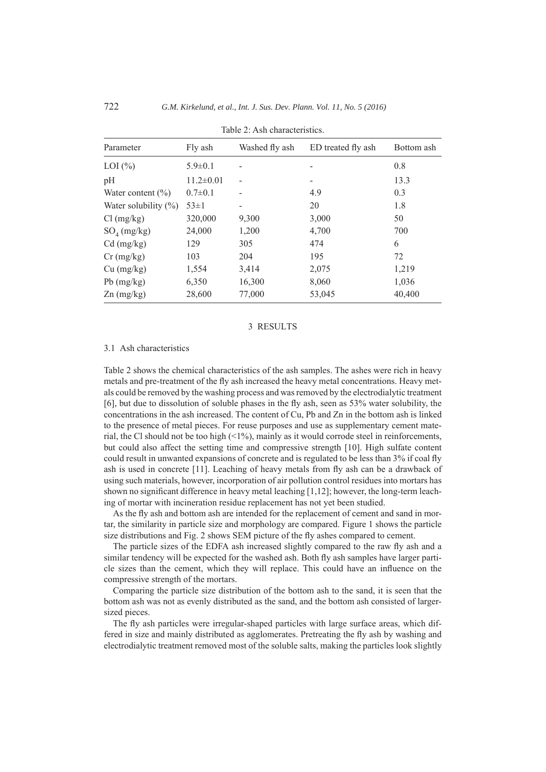| Parameter               | Fly ash         | Washed fly ash | ED treated fly ash | Bottom ash |  |  |
|-------------------------|-----------------|----------------|--------------------|------------|--|--|
| $LOI$ $(\%)$            | $5.9 \pm 0.1$   |                |                    | 0.8        |  |  |
| pH                      | $11.2 \pm 0.01$ |                |                    | 13.3       |  |  |
| Water content $(\% )$   | $0.7 \pm 0.1$   |                | 4.9                | 0.3        |  |  |
| Water solubility $(\%)$ | $53 \pm 1$      |                | 20                 | 1.8        |  |  |
| $Cl$ (mg/kg)            | 320,000         | 9,300          | 3,000              | 50         |  |  |
| $SO_4$ (mg/kg)          | 24,000          | 1,200          | 4,700              | 700        |  |  |
| $Cd$ (mg/kg)            | 129             | 305            | 474                | 6          |  |  |
| $Cr$ (mg/kg)            | 103             | 204            | 195                | 72         |  |  |
| Cu (mg/kg)              | 1,554           | 3,414          | 2,075              | 1,219      |  |  |
| $Pb$ (mg/kg)            | 6,350           | 16,300         | 8,060              | 1,036      |  |  |
| $\text{Zn (mg/kg)}$     | 28,600          | 77,000         | 53,045             | 40,400     |  |  |

Table 2: Ash characteristics.

## 3 RESULTS

#### 3.1 Ash characteristics

Table 2 shows the chemical characteristics of the ash samples. The ashes were rich in heavy metals and pre-treatment of the fly ash increased the heavy metal concentrations. Heavy metals could be removed by the washing process and was removed by the electrodialytic treatment [6], but due to dissolution of soluble phases in the fly ash, seen as 53% water solubility, the concentrations in the ash increased. The content of Cu, Pb and Zn in the bottom ash is linked to the presence of metal pieces. For reuse purposes and use as supplementary cement material, the Cl should not be too high  $(1\%)$ , mainly as it would corrode steel in reinforcements, but could also affect the setting time and compressive strength [10]. High sulfate content could result in unwanted expansions of concrete and is regulated to be less than 3% if coal fly ash is used in concrete [11]. Leaching of heavy metals from fly ash can be a drawback of using such materials, however, incorporation of air pollution control residues into mortars has shown no significant difference in heavy metal leaching [1,12]; however, the long-term leaching of mortar with incineration residue replacement has not yet been studied.

As the fly ash and bottom ash are intended for the replacement of cement and sand in mortar, the similarity in particle size and morphology are compared. Figure 1 shows the particle size distributions and Fig. 2 shows SEM picture of the fly ashes compared to cement.

The particle sizes of the EDFA ash increased slightly compared to the raw fly ash and a similar tendency will be expected for the washed ash. Both fly ash samples have larger particle sizes than the cement, which they will replace. This could have an influence on the compressive strength of the mortars.

Comparing the particle size distribution of the bottom ash to the sand, it is seen that the bottom ash was not as evenly distributed as the sand, and the bottom ash consisted of largersized pieces.

The fly ash particles were irregular-shaped particles with large surface areas, which differed in size and mainly distributed as agglomerates. Pretreating the fly ash by washing and electrodialytic treatment removed most of the soluble salts, making the particles look slightly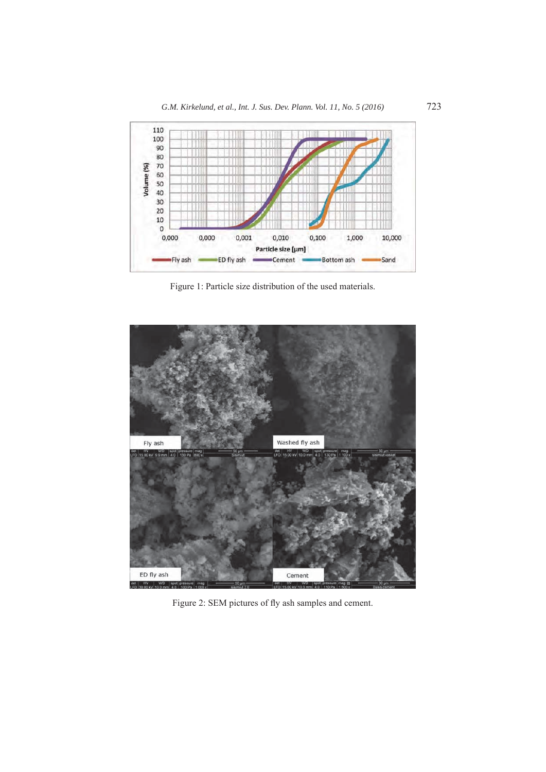

Figure 1: Particle size distribution of the used materials.



Figure 2: SEM pictures of fly ash samples and cement.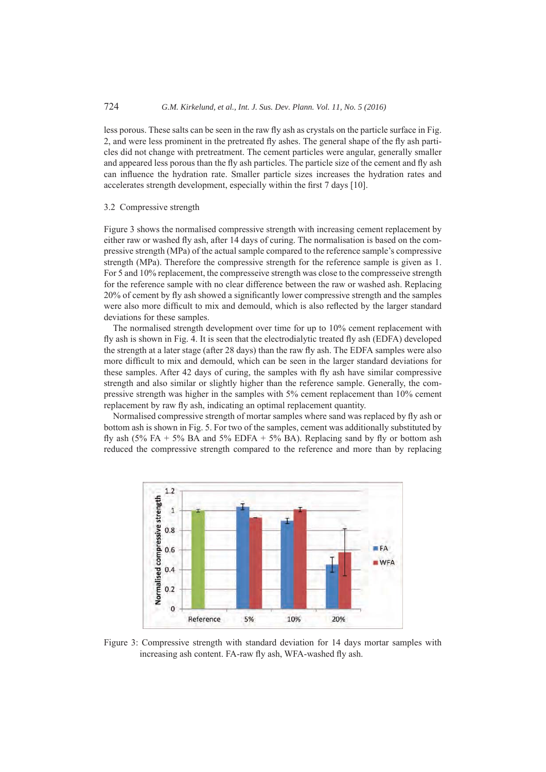less porous. These salts can be seen in the raw fly ash as crystals on the particle surface in Fig. 2, and were less prominent in the pretreated fly ashes. The general shape of the fly ash particles did not change with pretreatment. The cement particles were angular, generally smaller and appeared less porous than the fly ash particles. The particle size of the cement and fly ash can influence the hydration rate. Smaller particle sizes increases the hydration rates and accelerates strength development, especially within the first 7 days [10].

#### 3.2 Compressive strength

Figure 3 shows the normalised compressive strength with increasing cement replacement by either raw or washed fly ash, after 14 days of curing. The normalisation is based on the compressive strength (MPa) of the actual sample compared to the reference sample's compressive strength (MPa). Therefore the compressive strength for the reference sample is given as 1. For 5 and 10% replacement, the compresseive strength was close to the compresseive strength for the reference sample with no clear difference between the raw or washed ash. Replacing 20% of cement by fly ash showed a significantly lower compressive strength and the samples were also more difficult to mix and demould, which is also reflected by the larger standard deviations for these samples.

The normalised strength development over time for up to 10% cement replacement with fly ash is shown in Fig. 4. It is seen that the electrodialytic treated fly ash (EDFA) developed the strength at a later stage (after 28 days) than the raw fly ash. The EDFA samples were also more difficult to mix and demould, which can be seen in the larger standard deviations for these samples. After 42 days of curing, the samples with fly ash have similar compressive strength and also similar or slightly higher than the reference sample. Generally, the compressive strength was higher in the samples with 5% cement replacement than 10% cement replacement by raw fly ash, indicating an optimal replacement quantity.

Normalised compressive strength of mortar samples where sand was replaced by fly ash or bottom ash is shown in Fig. 5. For two of the samples, cement was additionally substituted by fly ash (5% FA + 5% BA and 5% EDFA + 5% BA). Replacing sand by fly or bottom ash reduced the compressive strength compared to the reference and more than by replacing



Figure 3: Compressive strength with standard deviation for 14 days mortar samples with increasing ash content. FA-raw fly ash, WFA-washed fly ash.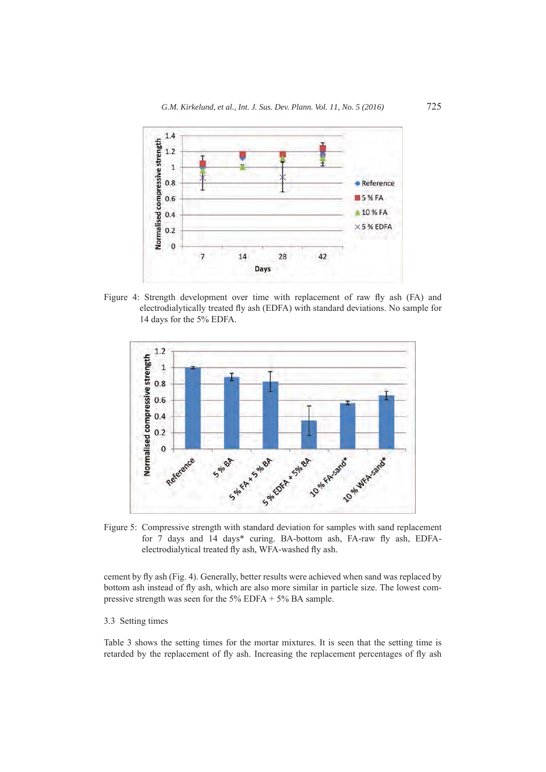

Figure 4: Strength development over time with replacement of raw fly ash (FA) and electrodialytically treated fly ash (EDFA) with standard deviations. No sample for 14 days for the 5% EDFA.



Figure 5: Compressive strength with standard deviation for samples with sand replacement for 7 days and 14 days\* curing. BA-bottom ash, FA-raw fly ash, EDFAelectrodialytical treated fly ash, WFA-washed fly ash.

cement by fly ash (Fig. 4). Generally, better results were achieved when sand was replaced by bottom ash instead of fly ash, which are also more similar in particle size. The lowest compressive strength was seen for the 5% EDFA + 5% BA sample.

## 3.3 Setting times

Table 3 shows the setting times for the mortar mixtures. It is seen that the setting time is retarded by the replacement of fly ash. Increasing the replacement percentages of fly ash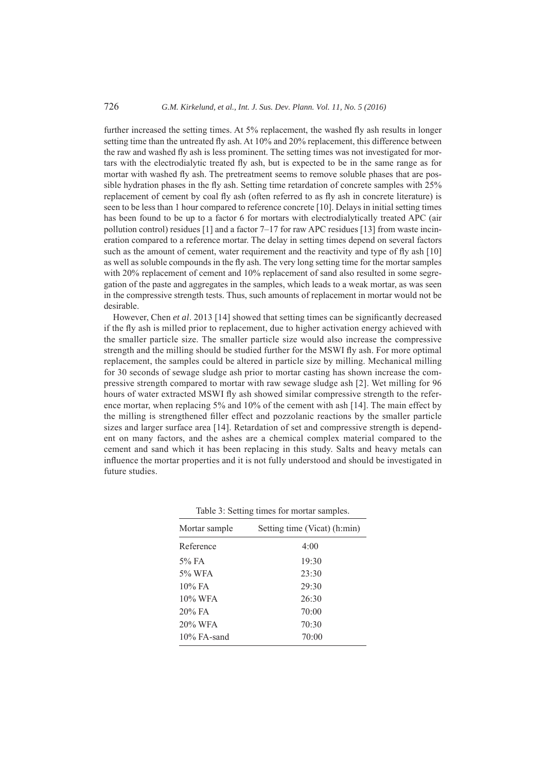## 726 *G.M. Kirkelund, et al., Int. J. Sus. Dev. Plann. Vol. 11, No. 5 (2016)*

further increased the setting times. At 5% replacement, the washed fly ash results in longer setting time than the untreated fly ash. At 10% and 20% replacement, this difference between the raw and washed fly ash is less prominent. The setting times was not investigated for mortars with the electrodialytic treated fly ash, but is expected to be in the same range as for mortar with washed fly ash. The pretreatment seems to remove soluble phases that are possible hydration phases in the fly ash. Setting time retardation of concrete samples with 25% replacement of cement by coal fly ash (often referred to as fly ash in concrete literature) is seen to be less than 1 hour compared to reference concrete [10]. Delays in initial setting times has been found to be up to a factor 6 for mortars with electrodialytically treated APC (air pollution control) residues [1] and a factor 7–17 for raw APC residues [13] from waste incineration compared to a reference mortar. The delay in setting times depend on several factors such as the amount of cement, water requirement and the reactivity and type of fly ash [10] as well as soluble compounds in the fly ash. The very long setting time for the mortar samples with 20% replacement of cement and 10% replacement of sand also resulted in some segregation of the paste and aggregates in the samples, which leads to a weak mortar, as was seen in the compressive strength tests. Thus, such amounts of replacement in mortar would not be desirable.

However, Chen *et al*. 2013 [14] showed that setting times can be significantly decreased if the fly ash is milled prior to replacement, due to higher activation energy achieved with the smaller particle size. The smaller particle size would also increase the compressive strength and the milling should be studied further for the MSWI fly ash. For more optimal replacement, the samples could be altered in particle size by milling. Mechanical milling for 30 seconds of sewage sludge ash prior to mortar casting has shown increase the compressive strength compared to mortar with raw sewage sludge ash [2]. Wet milling for 96 hours of water extracted MSWI fly ash showed similar compressive strength to the reference mortar, when replacing 5% and 10% of the cement with ash [14]. The main effect by the milling is strengthened filler effect and pozzolanic reactions by the smaller particle sizes and larger surface area [14]. Retardation of set and compressive strength is dependent on many factors, and the ashes are a chemical complex material compared to the cement and sand which it has been replacing in this study. Salts and heavy metals can influence the mortar properties and it is not fully understood and should be investigated in future studies.

| Mortar sample  | Setting time (Vicat) (h:min) |
|----------------|------------------------------|
| Reference      | 4:00                         |
| $5\%$ FA       | 19:30                        |
| 5% WFA         | 23:30                        |
| $10\%$ FA      | 29:30                        |
| 10% WFA        | 26:30                        |
| $20\%$ FA      | 70:00                        |
| 20% WFA        | 70:30                        |
| $10\%$ FA-sand | 70:00                        |

Table 3: Setting times for mortar samples.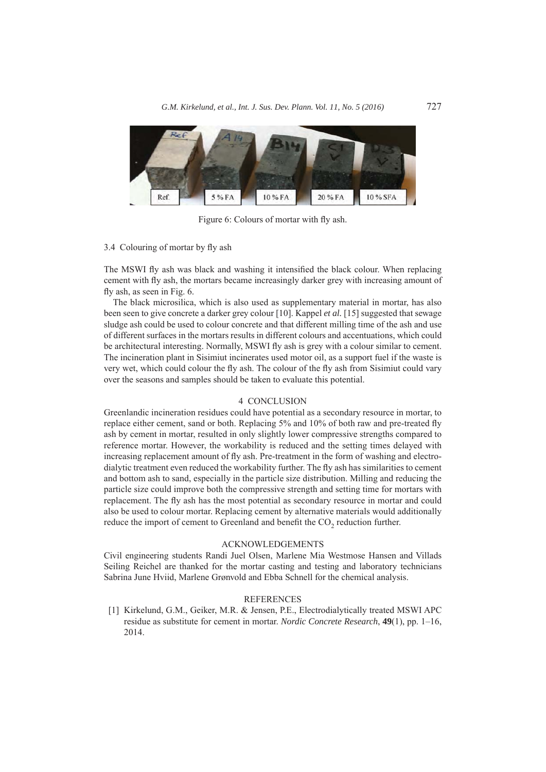

Figure 6: Colours of mortar with fly ash.

## 3.4 Colouring of mortar by fly ash

The MSWI fly ash was black and washing it intensified the black colour. When replacing cement with fly ash, the mortars became increasingly darker grey with increasing amount of fly ash, as seen in Fig. 6.

The black microsilica, which is also used as supplementary material in mortar, has also been seen to give concrete a darker grey colour [10]. Kappel *et al.* [15] suggested that sewage sludge ash could be used to colour concrete and that different milling time of the ash and use of different surfaces in the mortars results in different colours and accentuations, which could be architectural interesting. Normally, MSWI fly ash is grey with a colour similar to cement. The incineration plant in Sisimiut incinerates used motor oil, as a support fuel if the waste is very wet, which could colour the fly ash. The colour of the fly ash from Sisimiut could vary over the seasons and samples should be taken to evaluate this potential.

#### 4 CONCLUSION

Greenlandic incineration residues could have potential as a secondary resource in mortar, to replace either cement, sand or both. Replacing 5% and 10% of both raw and pre-treated fly ash by cement in mortar, resulted in only slightly lower compressive strengths compared to reference mortar. However, the workability is reduced and the setting times delayed with increasing replacement amount of fly ash. Pre-treatment in the form of washing and electrodialytic treatment even reduced the workability further. The fly ash has similarities to cement and bottom ash to sand, especially in the particle size distribution. Milling and reducing the particle size could improve both the compressive strength and setting time for mortars with replacement. The fly ash has the most potential as secondary resource in mortar and could also be used to colour mortar. Replacing cement by alternative materials would additionally reduce the import of cement to Greenland and benefit the  $CO<sub>2</sub>$  reduction further.

#### ACKNOWLEDGEMENTS

Civil engineering students Randi Juel Olsen, Marlene Mia Westmose Hansen and Villads Seiling Reichel are thanked for the mortar casting and testing and laboratory technicians Sabrina June Hviid, Marlene Grønvold and Ebba Schnell for the chemical analysis.

#### **REFERENCES**

[1] Kirkelund, G.M., Geiker, M.R. & Jensen, P.E., Electrodialytically treated MSWI APC residue as substitute for cement in mortar. *Nordic Concrete Research*, **49**(1), pp. 1–16, 2014.